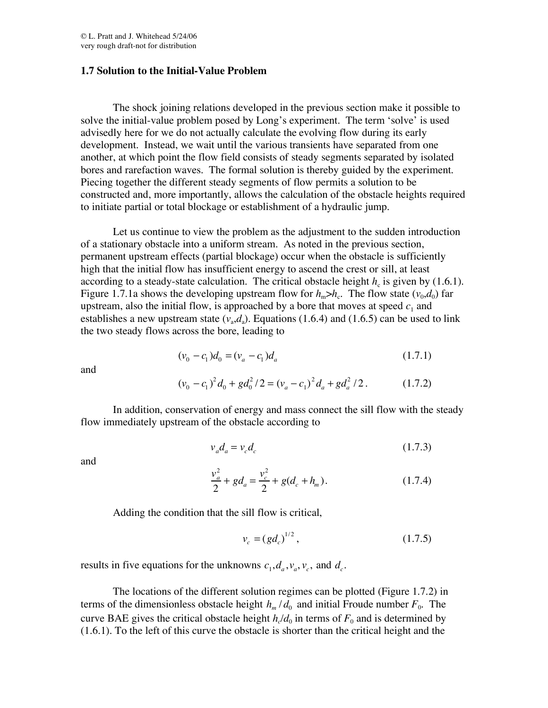## **1.7 Solution to the Initial-Value Problem**

The shock joining relations developed in the previous section make it possible to solve the initial-value problem posed by Long's experiment. The term 'solve' is used advisedly here for we do not actually calculate the evolving flow during its early development. Instead, we wait until the various transients have separated from one another, at which point the flow field consists of steady segments separated by isolated bores and rarefaction waves. The formal solution is thereby guided by the experiment. Piecing together the different steady segments of flow permits a solution to be constructed and, more importantly, allows the calculation of the obstacle heights required to initiate partial or total blockage or establishment of a hydraulic jump.

Let us continue to view the problem as the adjustment to the sudden introduction of a stationary obstacle into a uniform stream. As noted in the previous section, permanent upstream effects (partial blockage) occur when the obstacle is sufficiently high that the initial flow has insufficient energy to ascend the crest or sill, at least according to a steady-state calculation. The critical obstacle height  $h_c$  is given by (1.6.1). Figure 1.7.1a shows the developing upstream flow for  $h_m > h_c$ . The flow state  $(v_0, d_0)$  far upstream, also the initial flow, is approached by a bore that moves at speed  $c_1$  and establishes a new upstream state  $(v_a, d_a)$ . Equations (1.6.4) and (1.6.5) can be used to link the two steady flows across the bore, leading to

$$
(\nu_0 - c_1)d_0 = (\nu_a - c_1)d_a \tag{1.7.1}
$$

and

$$
(\nu_0 - c_1)^2 d_0 + g d_0^2 / 2 = (\nu_a - c_1)^2 d_a + g d_a^2 / 2.
$$
 (1.7.2)

In addition, conservation of energy and mass connect the sill flow with the steady flow immediately upstream of the obstacle according to

$$
v_a d_a = v_c d_c \tag{1.7.3}
$$

and

$$
\frac{v_a^2}{2} + gd_a = \frac{v_c^2}{2} + g(d_c + h_m). \tag{1.7.4}
$$

Adding the condition that the sill flow is critical,

$$
v_c = (gd_c)^{1/2},\tag{1.7.5}
$$

results in five equations for the unknowns  $c_1, d_a, v_a, v_c$ , and  $d_c$ .

The locations of the different solution regimes can be plotted (Figure 1.7.2) in terms of the dimensionless obstacle height  $h_m/d_0$  and initial Froude number  $F_0$ . The curve BAE gives the critical obstacle height  $h<sub>c</sub>/d<sub>0</sub>$  in terms of  $F<sub>0</sub>$  and is determined by (1.6.1). To the left of this curve the obstacle is shorter than the critical height and the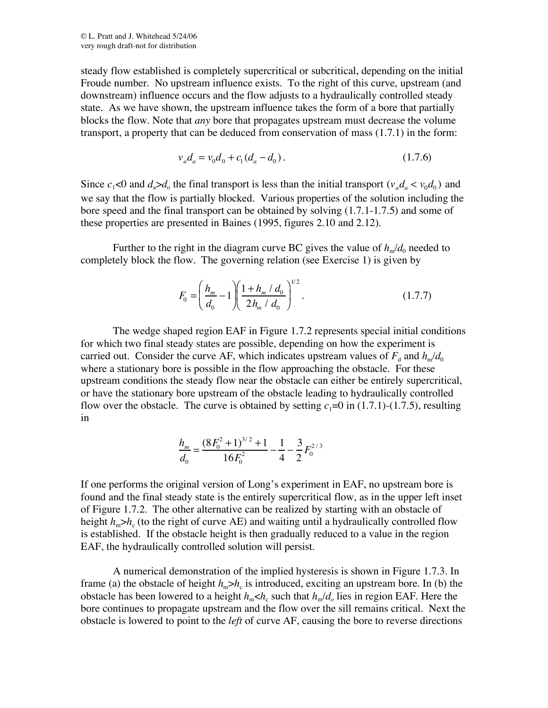steady flow established is completely supercritical or subcritical, depending on the initial Froude number. No upstream influence exists. To the right of this curve, upstream (and downstream) influence occurs and the flow adjusts to a hydraulically controlled steady state. As we have shown, the upstream influence takes the form of a bore that partially blocks the flow. Note that *any* bore that propagates upstream must decrease the volume transport, a property that can be deduced from conservation of mass (1.7.1) in the form:

$$
v_a d_a = v_0 d_0 + c_1 (d_a - d_0). \tag{1.7.6}
$$

Since  $c_1$ <0 and  $d_a$ > $d_a$  the final transport is less than the initial transport ( $v_a d_a < v_0 d_0$ ) and we say that the flow is partially blocked. Various properties of the solution including the bore speed and the final transport can be obtained by solving (1.7.1-1.7.5) and some of these properties are presented in Baines (1995, figures 2.10 and 2.12).

Further to the right in the diagram curve BC gives the value of  $h_{m}/d_{0}$  needed to completely block the flow. The governing relation (see Exercise 1) is given by

$$
F_0 = \left(\frac{h_m}{d_0} - 1\right) \left(\frac{1 + h_m / d_0}{2h_m / d_0}\right)^{1/2}.
$$
 (1.7.7)

The wedge shaped region EAF in Figure 1.7.2 represents special initial conditions for which two final steady states are possible, depending on how the experiment is carried out. Consider the curve AF, which indicates upstream values of  $F_d$  and  $h_m/d_0$ where a stationary bore is possible in the flow approaching the obstacle. For these upstream conditions the steady flow near the obstacle can either be entirely supercritical, or have the stationary bore upstream of the obstacle leading to hydraulically controlled flow over the obstacle. The curve is obtained by setting  $c_1=0$  in (1.7.1)-(1.7.5), resulting in

$$
\frac{h_m}{d_0} = \frac{(8F_0^2 + 1)^{3/2} + 1}{16F_0^2} - \frac{1}{4} - \frac{3}{2}F_0^{2/3}
$$

If one performs the original version of Long's experiment in EAF, no upstream bore is found and the final steady state is the entirely supercritical flow, as in the upper left inset of Figure 1.7.2. The other alternative can be realized by starting with an obstacle of height  $h_m$  $\gt h_c$  (to the right of curve AE) and waiting until a hydraulically controlled flow is established. If the obstacle height is then gradually reduced to a value in the region EAF, the hydraulically controlled solution will persist.

A numerical demonstration of the implied hysteresis is shown in Figure 1.7.3. In frame (a) the obstacle of height  $h_m > h_c$  is introduced, exciting an upstream bore. In (b) the obstacle has been lowered to a height  $h_m < h_c$  such that  $h_m / d_o$  lies in region EAF. Here the bore continues to propagate upstream and the flow over the sill remains critical. Next the obstacle is lowered to point to the *left* of curve AF, causing the bore to reverse directions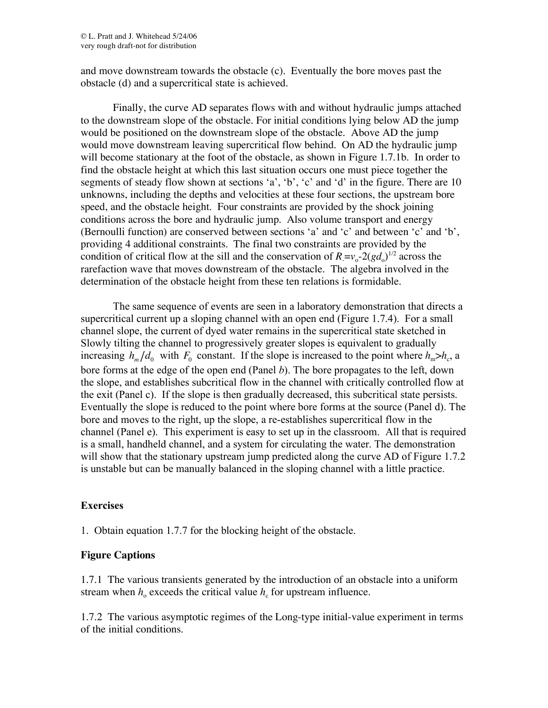and move downstream towards the obstacle (c). Eventually the bore moves past the obstacle (d) and a supercritical state is achieved.

Finally, the curve AD separates flows with and without hydraulic jumps attached to the downstream slope of the obstacle. For initial conditions lying below AD the jump would be positioned on the downstream slope of the obstacle. Above AD the jump would move downstream leaving supercritical flow behind. On AD the hydraulic jump will become stationary at the foot of the obstacle, as shown in Figure 1.7.1b. In order to find the obstacle height at which this last situation occurs one must piece together the segments of steady flow shown at sections 'a', 'b', 'c' and 'd' in the figure. There are 10 unknowns, including the depths and velocities at these four sections, the upstream bore speed, and the obstacle height. Four constraints are provided by the shock joining conditions across the bore and hydraulic jump. Also volume transport and energy (Bernoulli function) are conserved between sections 'a' and 'c' and between 'c' and 'b', providing 4 additional constraints. The final two constraints are provided by the condition of critical flow at the sill and the conservation of  $R = v_0 - 2(gd_0)^{1/2}$  across the rarefaction wave that moves downstream of the obstacle. The algebra involved in the determination of the obstacle height from these ten relations is formidable.

The same sequence of events are seen in a laboratory demonstration that directs a supercritical current up a sloping channel with an open end (Figure 1.7.4). For a small channel slope, the current of dyed water remains in the supercritical state sketched in Slowly tilting the channel to progressively greater slopes is equivalent to gradually increasing  $h_m/d_0$  with  $F_0$  constant. If the slope is increased to the point where  $h_m > h_c$ , a bore forms at the edge of the open end (Panel *b*). The bore propagates to the left, down the slope, and establishes subcritical flow in the channel with critically controlled flow at the exit (Panel c). If the slope is then gradually decreased, this subcritical state persists. Eventually the slope is reduced to the point where bore forms at the source (Panel d). The bore and moves to the right, up the slope, a re-establishes supercritical flow in the channel (Panel e). This experiment is easy to set up in the classroom. All that is required is a small, handheld channel, and a system for circulating the water. The demonstration will show that the stationary upstream jump predicted along the curve AD of Figure 1.7.2 is unstable but can be manually balanced in the sloping channel with a little practice.

## **Exercises**

1. Obtain equation 1.7.7 for the blocking height of the obstacle.

## **Figure Captions**

1.7.1 The various transients generated by the introduction of an obstacle into a uniform stream when  $h_0$  exceeds the critical value  $h_c$  for upstream influence.

1.7.2 The various asymptotic regimes of the Long-type initial-value experiment in terms of the initial conditions.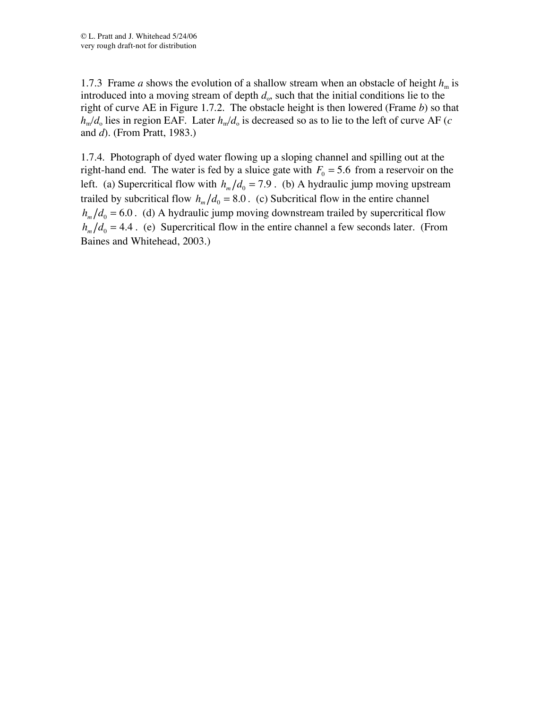1.7.3 Frame *a* shows the evolution of a shallow stream when an obstacle of height  $h_m$  is introduced into a moving stream of depth  $d_0$ , such that the initial conditions lie to the right of curve AE in Figure 1.7.2. The obstacle height is then lowered (Frame *b*) so that  $h_m/d_o$  lies in region EAF. Later  $h_m/d_o$  is decreased so as to lie to the left of curve AF (*c* and *d*). (From Pratt, 1983.)

1.7.4. Photograph of dyed water flowing up a sloping channel and spilling out at the right-hand end. The water is fed by a sluice gate with  $F_0 = 5.6$  from a reservoir on the left. (a) Supercritical flow with  $h_m/d_0 = 7.9$ . (b) A hydraulic jump moving upstream trailed by subcritical flow  $h_m/d_0 = 8.0$ . (c) Subcritical flow in the entire channel  $h_m/d_0 = 6.0$ . (d) A hydraulic jump moving downstream trailed by supercritical flow  $h_m/d_0 = 4.4$ . (e) Supercritical flow in the entire channel a few seconds later. (From Baines and Whitehead, 2003.)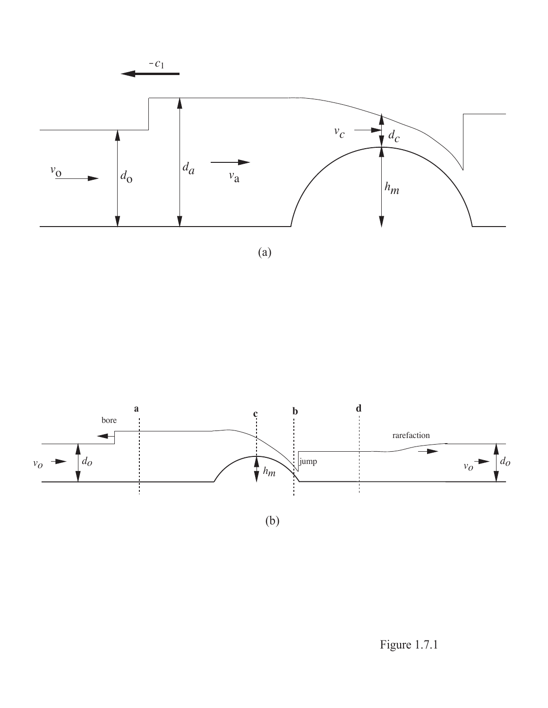

(a)



(b)

Figure 1.7.1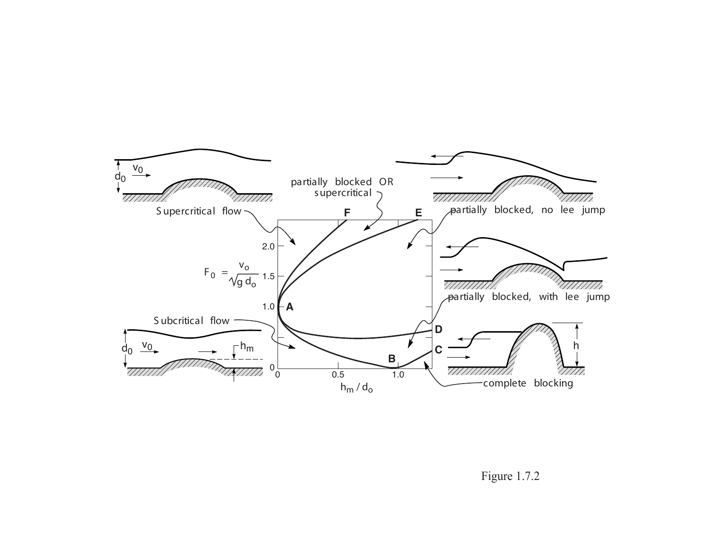

Figure 1.7.2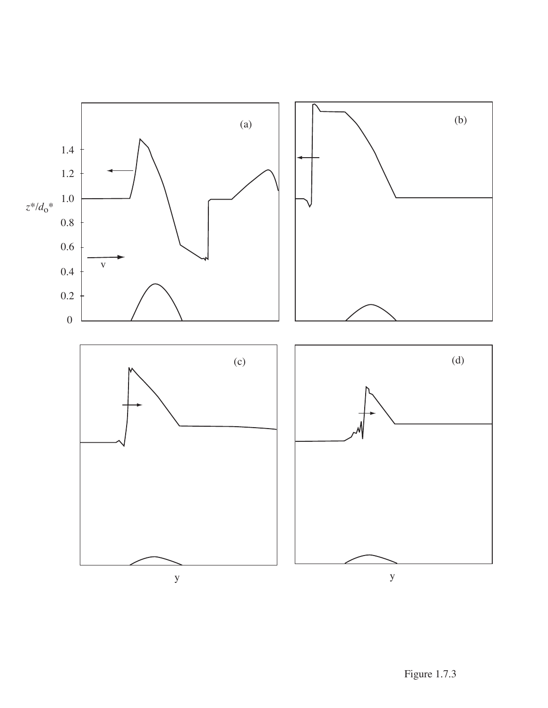